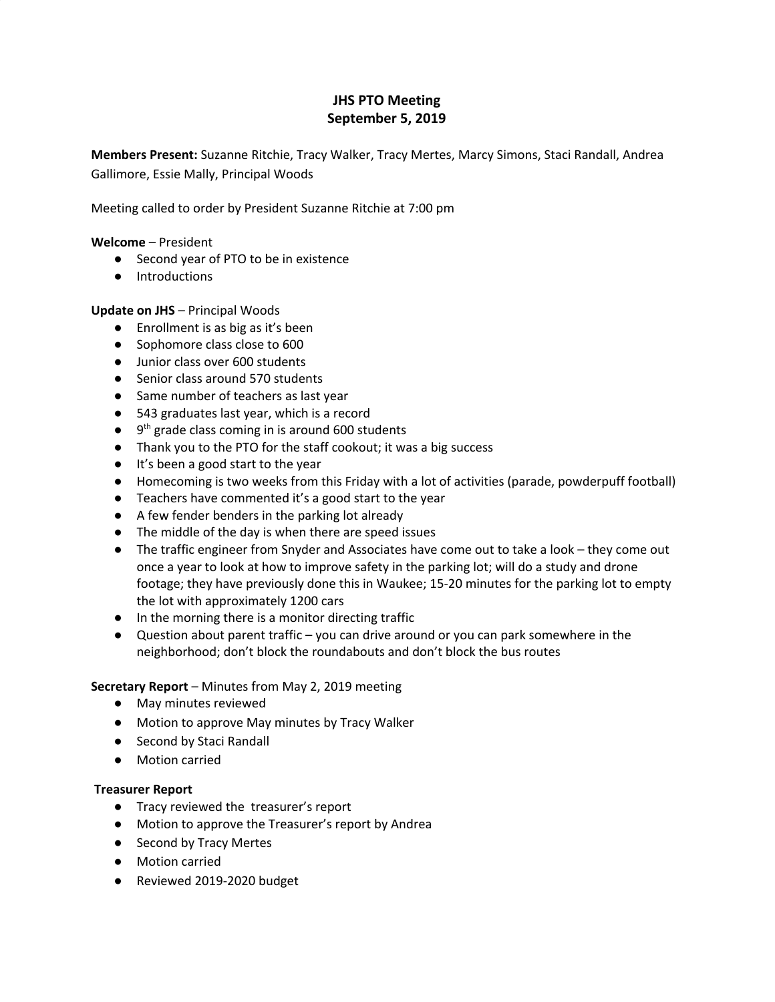# **JHS PTO Meeting September 5, 2019**

**Members Present:** Suzanne Ritchie, Tracy Walker, Tracy Mertes, Marcy Simons, Staci Randall, Andrea Gallimore, Essie Mally, Principal Woods

Meeting called to order by President Suzanne Ritchie at 7:00 pm

#### **Welcome** – President

- Second year of PTO to be in existence
- Introductions

#### **Update on JHS** – Principal Woods

- Enrollment is as big as it's been
- Sophomore class close to 600
- Junior class over 600 students
- Senior class around 570 students
- Same number of teachers as last year
- 543 graduates last year, which is a record
- $\bullet$   $9<sup>th</sup>$  grade class coming in is around 600 students
- Thank you to the PTO for the staff cookout; it was a big success
- It's been a good start to the year
- Homecoming is two weeks from this Friday with a lot of activities (parade, powderpuff football)
- Teachers have commented it's a good start to the year
- A few fender benders in the parking lot already
- The middle of the day is when there are speed issues
- The traffic engineer from Snyder and Associates have come out to take a look they come out once a year to look at how to improve safety in the parking lot; will do a study and drone footage; they have previously done this in Waukee; 15-20 minutes for the parking lot to empty the lot with approximately 1200 cars
- In the morning there is a monitor directing traffic
- $\bullet$  Question about parent traffic you can drive around or you can park somewhere in the neighborhood; don't block the roundabouts and don't block the bus routes

#### **Secretary Report** – Minutes from May 2, 2019 meeting

- May minutes reviewed
- Motion to approve May minutes by Tracy Walker
- Second by Staci Randall
- Motion carried

#### **Treasurer Report**

- Tracy reviewed the treasurer's report
- Motion to approve the Treasurer's report by Andrea
- Second by Tracy Mertes
- Motion carried
- Reviewed 2019-2020 budget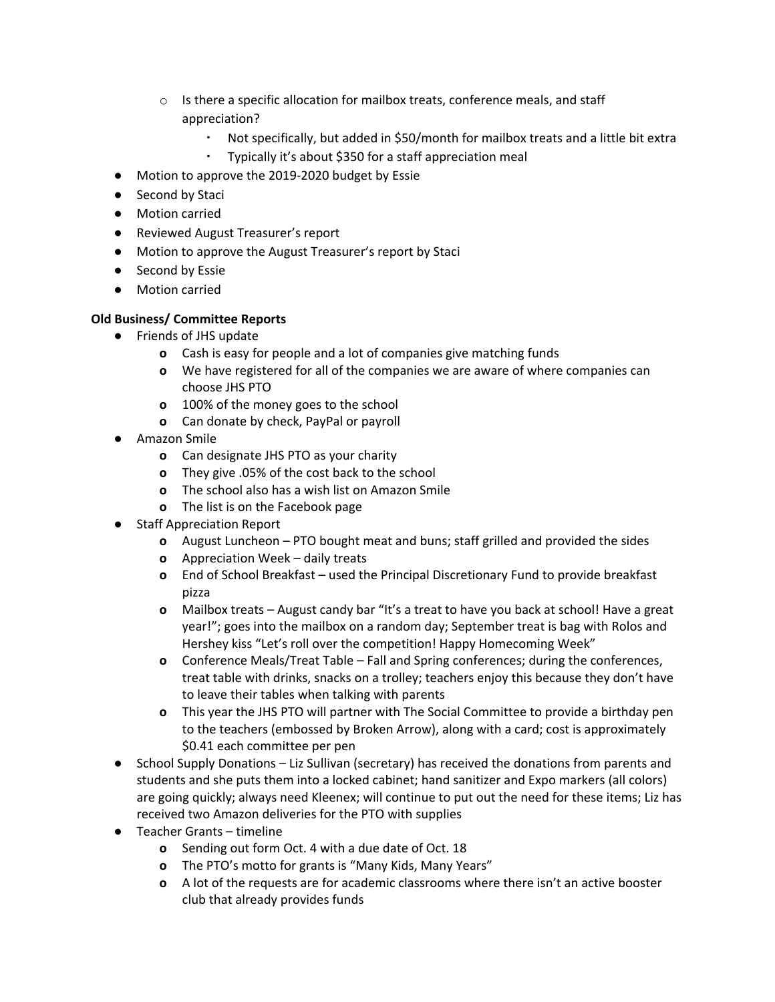- $\circ$  Is there a specific allocation for mailbox treats, conference meals, and staff appreciation?
	- Not specifically, but added in \$50/month for mailbox treats and a little bit extra
	- Typically it's about \$350 for a staff appreciation meal
- Motion to approve the 2019-2020 budget by Essie
- Second by Staci
- Motion carried
- Reviewed August Treasurer's report
- Motion to approve the August Treasurer's report by Staci
- Second by Essie
- Motion carried

## **Old Business/ Committee Reports**

- Friends of JHS update
	- **o** Cash is easy for people and a lot of companies give matching funds
	- **o** We have registered for all of the companies we are aware of where companies can choose JHS PTO
	- **o** 100% of the money goes to the school
	- **o** Can donate by check, PayPal or payroll
- **●** Amazon Smile
	- **o** Can designate JHS PTO as your charity
	- **o** They give .05% of the cost back to the school
	- **o** The school also has a wish list on Amazon Smile
	- **o** The list is on the Facebook page
- **●** Staff Appreciation Report
	- **o** August Luncheon PTO bought meat and buns; staff grilled and provided the sides
	- **o** Appreciation Week daily treats
	- **o** End of School Breakfast used the Principal Discretionary Fund to provide breakfast pizza
	- **o** Mailbox treats August candy bar "It's a treat to have you back at school! Have a great year!"; goes into the mailbox on a random day; September treat is bag with Rolos and Hershey kiss "Let's roll over the competition! Happy Homecoming Week"
	- **o** Conference Meals/Treat Table Fall and Spring conferences; during the conferences, treat table with drinks, snacks on a trolley; teachers enjoy this because they don't have to leave their tables when talking with parents
	- **o** This year the JHS PTO will partner with The Social Committee to provide a birthday pen to the teachers (embossed by Broken Arrow), along with a card; cost is approximately \$0.41 each committee per pen
- **●** School Supply Donations Liz Sullivan (secretary) has received the donations from parents and students and she puts them into a locked cabinet; hand sanitizer and Expo markers (all colors) are going quickly; always need Kleenex; will continue to put out the need for these items; Liz has received two Amazon deliveries for the PTO with supplies
- **●** Teacher Grants timeline
	- **o** Sending out form Oct. 4 with a due date of Oct. 18
	- **o** The PTO's motto for grants is "Many Kids, Many Years"
	- **o** A lot of the requests are for academic classrooms where there isn't an active booster club that already provides funds